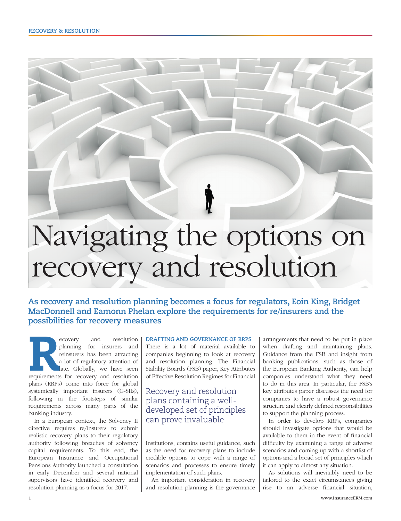# Navigating the options on recovery and resolution

**As recovery and resolution planning becomes a focus for regulators, Eoin King, Bridget MacDonnell and Eamonn Phelan explore the requirements for re/insurers and the possibilities for recovery measures**

ecovery and resolution planning for insurers and reinsurers has been attracting a lot of regulatory attention of late. Globally, we have seen requirements for recovery and resolution planning for insurers and reinsurers has been attracting a lot of regulatory attention of late. Globally, we have seen plans (RRPs) come into force for global systemically important insurers (G-SIIs), following in the footsteps of similar requirements across many parts of the banking industry.

In a European context, the Solvency II directive requires re/insurers to submit realistic recovery plans to their regulatory authority following breaches of solvency capital requirements. To this end, the European Insurance and Occupational Pensions Authority launched a consultation in early December and several national supervisors have identified recovery and resolution planning as a focus for 2017.

#### **DRAFTING AND GOVERNANCE OF RRPS**

There is a lot of material available to companies beginning to look at recovery and resolution planning. The Financial Stability Board's (FSB) paper, Key Attributes of Effective Resolution Regimes for Financial

## Recovery and resolution plans containing a welldeveloped set of principles can prove invaluable

Institutions, contains useful guidance, such as the need for recovery plans to include credible options to cope with a range of scenarios and processes to ensure timely implementation of such plans.

An important consideration in recovery and resolution planning is the governance arrangements that need to be put in place when drafting and maintaining plans. Guidance from the FSB and insight from banking publications, such as those of the European Banking Authority, can help companies understand what they need to do in this area. In particular, the FSB's key attributes paper discusses the need for companies to have a robust governance structure and clearly defined responsibilities to support the planning process.

In order to develop RRPs, companies should investigate options that would be available to them in the event of financial difficulty by examining a range of adverse scenarios and coming up with a shortlist of options and a broad set of principles which it can apply to almost any situation.

As solutions will inevitably need to be tailored to the exact circumstances giving rise to an adverse financial situation,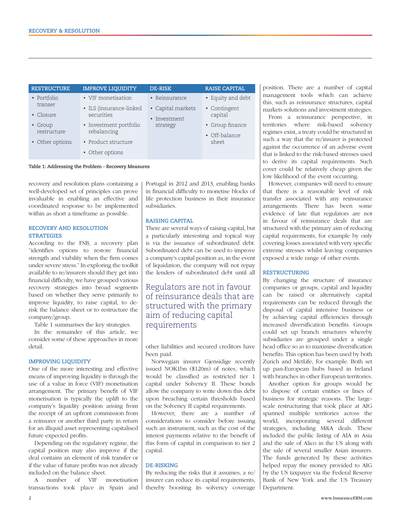| <b>RESTRUCTURE</b>     | <b>IMPROVE LIQUIDITY</b>              | <b>DE-RISK</b>                    | <b>RAISE CAPITAL</b>             |
|------------------------|---------------------------------------|-----------------------------------|----------------------------------|
| • Portfolio            | • VIF monetisation                    | • Reinsurance                     | • Equity and debt                |
| transer<br>• Closure   | • ILS (insurance-linked<br>securities | • Capital markets<br>• Investment | • Contingent<br>capital          |
| • Group<br>restructure | • Investment portfolio<br>rebalancing | strategy                          | • Group finance<br>• Off-balance |
| • Other options        | • Product structure                   |                                   | sheet                            |
|                        | • Other options                       |                                   |                                  |

**Table 1: Addressing the Problem - Recovery Measures**

recovery and resolution plans containing a well-developed set of principles can prove invaluable in enabling an effective and coordinated response to be implemented within as short a timeframe as possible.

### **RECOVERY AND RESOLUTION STRATEGIES**

According to the FSB, a recovery plan "identifies options to restore financial strength and viability when the firm comes under severe stress." In exploring the toolkit available to re/insurers should they get into financial difficulty, we have grouped various recovery strategies into broad segments based on whether they serve primarily to improve liquidity, to raise capital, to derisk the balance sheet or to restructure the company/group.

Table 1 summarises the key strategies.

In the remainder of this article, we consider some of these approaches in more detail.

### **IMPROVING LIQUIDITY**

One of the more interesting and effective means of improving liquidity is through the use of a value in force (VIF) monetisation arrangement. The primary benefit of VIF monetisation is typically the uplift to the company's liquidity position arising from the receipt of an upfront commission from a reinsurer or another third party in return for an illiquid asset representing capitalised future expected profits.

Depending on the regulatory regime, the capital position may also improve if the deal contains an element of risk transfer or if the value of future profits was not already included on the balance sheet.

A number of VIF monetisation transactions took place in Spain and Portugal in 2012 and 2013, enabling banks in financial difficulty to monetise blocks of life protection business in their insurance subsidiaries.

#### **RAISING CAPITAL**

There are several ways of raising capital, but a particularly interesting and topical way is via the issuance of subordinated debt. Subordinated debt can be used to improve a company's capital position as, in the event of liquidation, the company will not repay the lenders of subordinated debt until all

Regulators are not in favour of reinsurance deals that are structured with the primary aim of reducing capital requirements

other liabilities and secured creditors have been paid.

Norwegian insurer Gjensidige recently issued NOK1bn (\$120m) of notes, which would be classified as restricted tier 1 capital under Solvency II. These bonds allow the company to write down this debt upon breaching certain thresholds based on the Solvency II capital requirements.

However, there are a number of considerations to consider before issuing such an instrument, such as the cost of the interest payments relative to the benefit of this form of capital in comparison to tier 2 capital.

### **DE-RISKING**

By reducing the risks that it assumes, a re/ insurer can reduce its capital requirements, thereby boosting its solvency coverage

position. There are a number of capital management tools which can achieve this, such as reinsurance structures, capital markets solutions and investment strategies.

From a reinsurance perspective, in territories where risk-based solvency regimes exist, a treaty could be structured in such a way that the re/insurer is protected against the occurrence of an adverse event that is linked to the risk-based stresses used to derive its capital requirements. Such cover could be relatively cheap given the low likelihood of the event occurring.

However, companies will need to ensure that there is a reasonable level of risk transfer associated with any reinsurance arrangements. There has been some evidence of late that regulators are not in favour of reinsurance deals that are structured with the primary aim of reducing capital requirements, for example by only covering losses associated with very specific extreme stresses whilst leaving companies exposed a wide range of other events.

#### **RESTRUCTURING**

By changing the structure of insurance companies or groups, capital and liquidity can be raised or alternatively capital requirements can be reduced through the disposal of capital intensive business or by achieving capital efficiencies through increased diversification benefits. Groups could set up branch structures whereby subsidiaries are grouped under a single head office so as to maximise diversification benefits. This option has been used by both Zurich and MetLife, for example. Both set up pan-European hubs based in Ireland with branches in other European territories.

Another option for groups would be to dispose of certain entities or lines of business for strategic reasons. The largescale restructuring that took place at AIG spanned multiple territories across the world, incorporating several different strategies, including M&A deals. These included the public listing of AIA in Asia and the sale of Alico in the US along with the sale of several smaller Asian insurers. The funds generated by these activities helped repay the money provided to AIG by the US taxpayer via the Federal Reserve Bank of New York and the US Treasury Department.